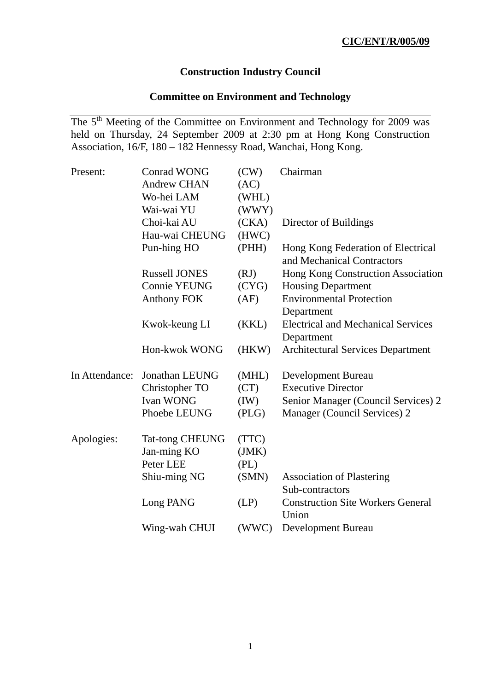# **Construction Industry Council**

# **Committee on Environment and Technology**

The 5<sup>th</sup> Meeting of the Committee on Environment and Technology for 2009 was held on Thursday, 24 September 2009 at 2:30 pm at Hong Kong Construction Association, 16/F, 180 – 182 Hennessy Road, Wanchai, Hong Kong.

| Present:       | <b>Conrad WONG</b>     | (CW)  | Chairman                                                         |
|----------------|------------------------|-------|------------------------------------------------------------------|
|                | <b>Andrew CHAN</b>     | (AC)  |                                                                  |
|                | Wo-hei LAM             | (WHL) |                                                                  |
|                | Wai-wai YU             | (WWY) |                                                                  |
|                | Choi-kai AU            | (CKA) | Director of Buildings                                            |
|                | Hau-wai CHEUNG         | (HWC) |                                                                  |
|                | Pun-hing HO            | (PHH) | Hong Kong Federation of Electrical<br>and Mechanical Contractors |
|                | <b>Russell JONES</b>   | (RJ)  | Hong Kong Construction Association                               |
|                | <b>Connie YEUNG</b>    | (CYG) | <b>Housing Department</b>                                        |
|                | <b>Anthony FOK</b>     | (AF)  | <b>Environmental Protection</b><br>Department                    |
|                | Kwok-keung LI          | (KKL) | <b>Electrical and Mechanical Services</b>                        |
|                |                        |       | Department                                                       |
|                | Hon-kwok WONG          | (HKW) | <b>Architectural Services Department</b>                         |
| In Attendance: | <b>Jonathan LEUNG</b>  | (MHL) | Development Bureau                                               |
|                | Christopher TO         | (CT)  | <b>Executive Director</b>                                        |
|                | Ivan WONG              | (IW)  | Senior Manager (Council Services) 2                              |
|                | Phoebe LEUNG           | (PLG) | Manager (Council Services) 2                                     |
| Apologies:     | <b>Tat-tong CHEUNG</b> | (TTC) |                                                                  |
|                | Jan-ming KO            | (JMK) |                                                                  |
|                | Peter LEE              | (PL)  |                                                                  |
|                | Shiu-ming NG           | (SMN) | <b>Association of Plastering</b><br>Sub-contractors              |
|                | Long PANG              | (LP)  | <b>Construction Site Workers General</b><br>Union                |
|                | Wing-wah CHUI          | (WWC) | <b>Development Bureau</b>                                        |
|                |                        |       |                                                                  |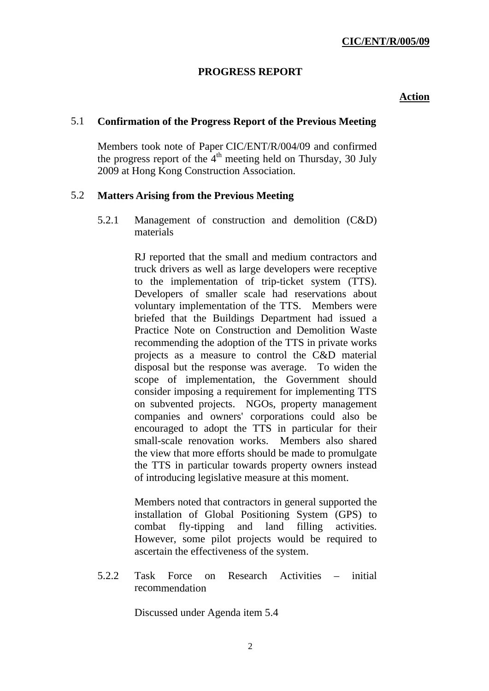# **PROGRESS REPORT**

#### **Action**

### 5.1 **Confirmation of the Progress Report of the Previous Meeting**

Members took note of Paper CIC/ENT/R/004/09 and confirmed the progress report of the  $4<sup>th</sup>$  meeting held on Thursday, 30 July 2009 at Hong Kong Construction Association.

### 5.2 **Matters Arising from the Previous Meeting**

5.2.1 Management of construction and demolition (C&D) materials

> RJ reported that the small and medium contractors and truck drivers as well as large developers were receptive to the implementation of trip-ticket system (TTS). Developers of smaller scale had reservations about voluntary implementation of the TTS. Members were briefed that the Buildings Department had issued a Practice Note on Construction and Demolition Waste recommending the adoption of the TTS in private works projects as a measure to control the C&D material disposal but the response was average. To widen the scope of implementation, the Government should consider imposing a requirement for implementing TTS on subvented projects. NGOs, property management companies and owners' corporations could also be encouraged to adopt the TTS in particular for their small-scale renovation works. Members also shared the view that more efforts should be made to promulgate the TTS in particular towards property owners instead of introducing legislative measure at this moment.

> Members noted that contractors in general supported the installation of Global Positioning System (GPS) to combat fly-tipping and land filling activities. However, some pilot projects would be required to ascertain the effectiveness of the system.

5.2.2 Task Force on Research Activities – initial recommendation

Discussed under Agenda item 5.4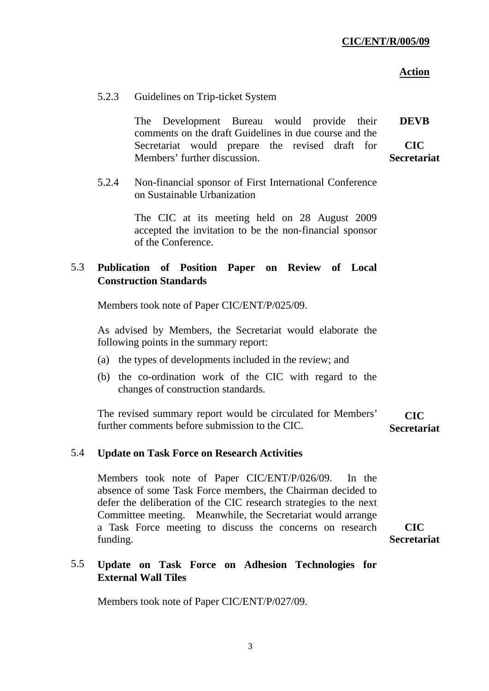| 5.2.3 |  | Guidelines on Trip-ticket System |  |
|-------|--|----------------------------------|--|
|-------|--|----------------------------------|--|

The Development Bureau would provide their comments on the draft Guidelines in due course and the Secretariat would prepare the revised draft for Members' further discussion. **DEVB CIC Secretariat** 

5.2.4 Non-financial sponsor of First International Conference on Sustainable Urbanization

> The CIC at its meeting held on 28 August 2009 accepted the invitation to be the non-financial sponsor of the Conference.

# 5.3 **Publication of Position Paper on Review of Local Construction Standards**

Members took note of Paper CIC/ENT/P/025/09.

As advised by Members, the Secretariat would elaborate the following points in the summary report:

- (a) the types of developments included in the review; and
- (b) the co-ordination work of the CIC with regard to the changes of construction standards.

The revised summary report would be circulated for Members' further comments before submission to the CIC. **CIC Secretariat** 

#### 5.4 **Update on Task Force on Research Activities**

Members took note of Paper CIC/ENT/P/026/09. In the absence of some Task Force members, the Chairman decided to defer the deliberation of the CIC research strategies to the next Committee meeting. Meanwhile, the Secretariat would arrange a Task Force meeting to discuss the concerns on research funding.

**CIC Secretariat** 

# 5.5 **Update on Task Force on Adhesion Technologies for External Wall Tiles**

Members took note of Paper CIC/ENT/P/027/09.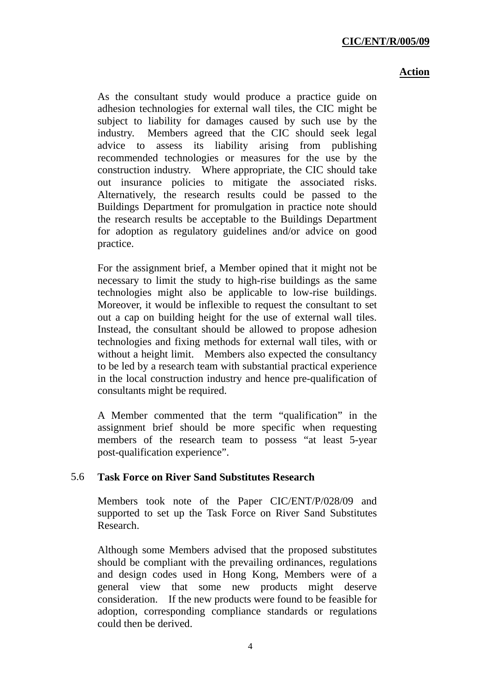As the consultant study would produce a practice guide on adhesion technologies for external wall tiles, the CIC might be subject to liability for damages caused by such use by the industry. Members agreed that the CIC should seek legal advice to assess its liability arising from publishing recommended technologies or measures for the use by the construction industry. Where appropriate, the CIC should take out insurance policies to mitigate the associated risks. Alternatively, the research results could be passed to the Buildings Department for promulgation in practice note should the research results be acceptable to the Buildings Department for adoption as regulatory guidelines and/or advice on good practice.

For the assignment brief, a Member opined that it might not be necessary to limit the study to high-rise buildings as the same technologies might also be applicable to low-rise buildings. Moreover, it would be inflexible to request the consultant to set out a cap on building height for the use of external wall tiles. Instead, the consultant should be allowed to propose adhesion technologies and fixing methods for external wall tiles, with or without a height limit. Members also expected the consultancy to be led by a research team with substantial practical experience in the local construction industry and hence pre-qualification of consultants might be required.

A Member commented that the term "qualification" in the assignment brief should be more specific when requesting members of the research team to possess "at least 5-year post-qualification experience".

# 5.6 **Task Force on River Sand Substitutes Research**

Members took note of the Paper CIC/ENT/P/028/09 and supported to set up the Task Force on River Sand Substitutes Research.

Although some Members advised that the proposed substitutes should be compliant with the prevailing ordinances, regulations and design codes used in Hong Kong, Members were of a general view that some new products might deserve consideration. If the new products were found to be feasible for adoption, corresponding compliance standards or regulations could then be derived.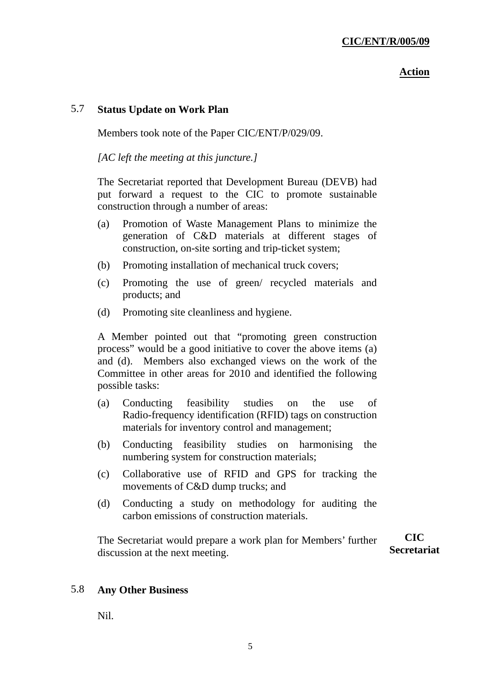### 5.7 **Status Update on Work Plan**

Members took note of the Paper CIC/ENT/P/029/09.

*[AC left the meeting at this juncture.]* 

The Secretariat reported that Development Bureau (DEVB) had put forward a request to the CIC to promote sustainable construction through a number of areas:

- (a) Promotion of Waste Management Plans to minimize the generation of C&D materials at different stages of construction, on-site sorting and trip-ticket system;
- (b) Promoting installation of mechanical truck covers;
- (c) Promoting the use of green/ recycled materials and products; and
- (d) Promoting site cleanliness and hygiene.

A Member pointed out that "promoting green construction process" would be a good initiative to cover the above items (a) and (d). Members also exchanged views on the work of the Committee in other areas for 2010 and identified the following possible tasks:

- (a) Conducting feasibility studies on the use of Radio-frequency identification (RFID) tags on construction materials for inventory control and management;
- (b) Conducting feasibility studies on harmonising the numbering system for construction materials;
- (c) Collaborative use of RFID and GPS for tracking the movements of C&D dump trucks; and
- (d) Conducting a study on methodology for auditing the carbon emissions of construction materials.

The Secretariat would prepare a work plan for Members' further discussion at the next meeting. **CIC Secretariat** 

# 5.8 **Any Other Business**

Nil.